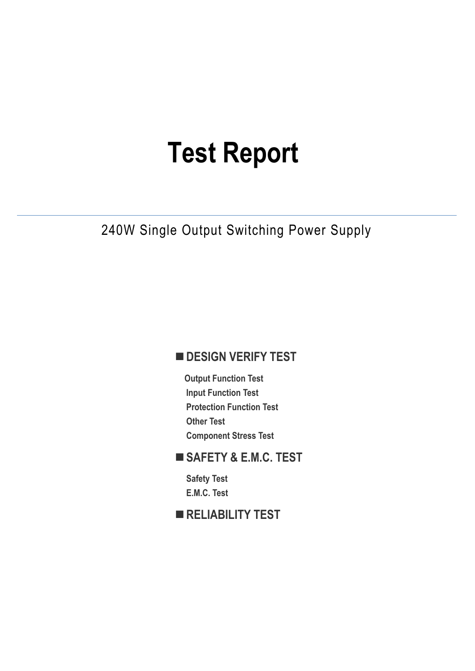# **Test Report**

### 240W Single Output Switching Power Supply

### **DESIGN VERIFY TEST**

**Output Function Test Input Function Test Protection Function Test Other Test Component Stress Test** 

### **SAFETY & E.M.C. TEST**

**Safety Test E.M.C. Test** 

### **RELIABILITY TEST**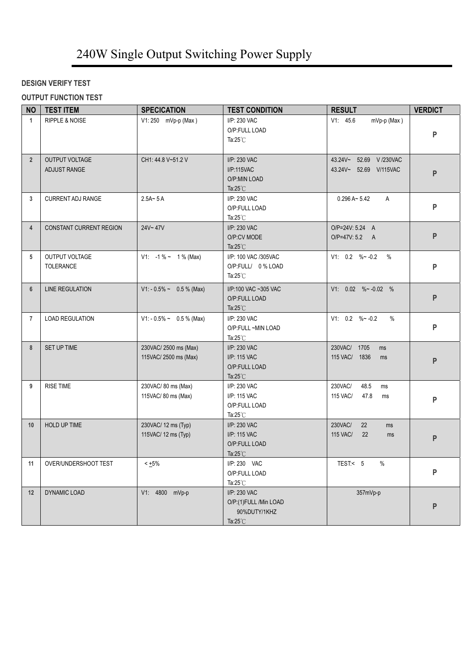#### **DESIGN VERIFY TEST**

#### **OUTPUT FUNCTION TEST**

| <b>NO</b>      | <b>TEST ITEM</b>               | <b>SPECICATION</b>                            | <b>TEST CONDITION</b>                                                       | <b>RESULT</b>                                          | <b>VERDICT</b> |
|----------------|--------------------------------|-----------------------------------------------|-----------------------------------------------------------------------------|--------------------------------------------------------|----------------|
| $\mathbf{1}$   | <b>RIPPLE &amp; NOISE</b>      | V1: 250 mVp-p (Max)                           | I/P: 230 VAC<br>O/P:FULL LOAD<br>Ta: $25^{\circ}$ C                         | V1: 45.6<br>$mVp-p$ (Max)                              | P              |
| $\overline{2}$ | OUTPUT VOLTAGE<br>ADJUST RANGE | CH1: 44.8 V~51.2 V                            | I/P: 230 VAC<br><b>I/P:115VAC</b><br>O/P:MIN LOAD<br>Ta: $25^{\circ}$ C     | 43.24V~ 52.69 V /230VAC<br>43.24V~ 52.69 V/115VAC      | P              |
| 3              | <b>CURRENT ADJ RANGE</b>       | $2.5A - 5A$                                   | I/P: 230 VAC<br>O/P:FULL LOAD<br>Ta: $25^{\circ}$ C                         | $0.296 A - 5.42$<br>A                                  | P              |
| $\overline{4}$ | <b>CONSTANT CURRENT REGION</b> | 24V~47V                                       | I/P: 230 VAC<br>O/P:CV MODE<br>Ta: $25^{\circ}$ C                           | O/P=24V: 5.24 A<br>O/P=47V: 5.2 A                      | P              |
| 5              | OUTPUT VOLTAGE<br>TOLERANCE    | V1: $-1\% \sim 1\%$ (Max)                     | I/P: 100 VAC /305VAC<br>O/P:FULL/ 0% LOAD<br>Ta: $25^{\circ}$ C             | V1: $0.2 \quad \%$ ~ -0.2 %                            | P              |
| 6              | LINE REGULATION                | $V1: -0.5\% \sim 0.5\%$ (Max)                 | I/P:100 VAC ~305 VAC<br>O/P:FULL LOAD<br>Ta: $25^{\circ}$ C                 | V1: $0.02$ %~ -0.02 %                                  | P              |
| $\overline{7}$ | <b>LOAD REGULATION</b>         | $V1: -0.5\% \sim 0.5\%$ (Max)                 | I/P: 230 VAC<br>O/P:FULL ~MIN LOAD<br>Ta: $25^{\circ}$ C                    | V1: 0.2 % ~ 0.2<br>$\%$                                | P              |
| 8              | SET UP TIME                    | 230VAC/2500 ms (Max)<br>115VAC/ 2500 ms (Max) | I/P: 230 VAC<br>I/P: 115 VAC<br>O/P:FULL LOAD<br>Ta: $25^{\circ}$ C         | 230VAC/ 1705<br>ms<br>115 VAC/ 1836<br>ms              | P              |
| 9              | <b>RISE TIME</b>               | 230VAC/80 ms (Max)<br>115VAC/ 80 ms (Max)     | I/P: 230 VAC<br>I/P: 115 VAC<br>O/P:FULL LOAD<br>Ta: $25^{\circ}$ C         | 48.5<br>230VAC/<br>ms<br><b>115 VAC/</b><br>47.8<br>ms | P              |
| 10             | HOLD UP TIME                   | 230VAC/ 12 ms (Typ)<br>115VAC/ 12 ms (Typ)    | I/P: 230 VAC<br>I/P: 115 VAC<br>O/P:FULL LOAD<br>Ta: $25^{\circ}$ C         | 230VAC/<br>22<br>ms<br>115 VAC/<br>22<br>ms            | P              |
| 11             | OVER/UNDERSHOOT TEST           | $< 1.5\%$                                     | I/P: 230 VAC<br>O/P:FULL LOAD<br>Ta: $25^{\circ}$ C                         | TEST:< 5<br>$\%$                                       | P              |
| 12             | DYNAMIC LOAD                   | V1: 4800 mVp-p                                | I/P: 230 VAC<br>O/P:(1)FULL /Min LOAD<br>90%DUTY/1KHZ<br>Ta: $25^{\circ}$ C | 357mVp-p                                               | P              |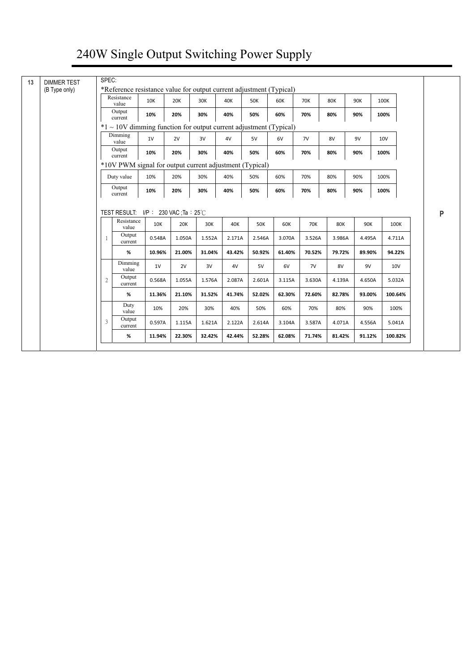| *Reference resistance value for output current adjustment (Typical)<br>(B Type only) | Resistance                                                             |        |            |        |        |            |        |            |            |        |            |         |
|--------------------------------------------------------------------------------------|------------------------------------------------------------------------|--------|------------|--------|--------|------------|--------|------------|------------|--------|------------|---------|
|                                                                                      | value                                                                  | 10K    | <b>20K</b> | 30K    | 40K    | <b>50K</b> | 60K    | <b>70K</b> | <b>80K</b> | 90K    | 100K       |         |
|                                                                                      | Output<br>current                                                      | 10%    | 20%        | 30%    | 40%    | 50%        | 60%    | 70%        | 80%        | 90%    | 100%       |         |
|                                                                                      | $*1 \sim 10V$ dimming function for output current adjustment (Typical) |        |            |        |        |            |        |            |            |        |            |         |
|                                                                                      | Dimming<br>value                                                       | 1V     | 2V         | 3V     | 4V     | 5V         | 6V     | 7V         | 8V         | 9V     | <b>10V</b> |         |
|                                                                                      | Output<br>current                                                      | 10%    | 20%        | 30%    | 40%    | 50%        | 60%    | 70%        | 80%        | 90%    | 100%       |         |
|                                                                                      | *10V PWM signal for output current adjustment (Typical)                |        |            |        |        |            |        |            |            |        |            |         |
|                                                                                      | Duty value                                                             | 10%    | 20%        | 30%    | 40%    | 50%        | 60%    | 70%        | 80%        | 90%    | 100%       |         |
|                                                                                      | Output                                                                 | 10%    | 20%        | 30%    | 40%    | 50%        | 60%    | 70%        | 80%        | 90%    | 100%       |         |
|                                                                                      | current                                                                |        |            |        |        |            |        |            |            |        |            |         |
|                                                                                      | TEST RESULT: $I/P$ : 230 VAC ; Ta : 25 °C<br>Resistance                | 10K    | 20K        | 30K    | 40K    | <b>50K</b> | 60K    | <b>70K</b> | <b>80K</b> | 90K    |            | 100K    |
| 1                                                                                    | value<br>Output                                                        | 0.548A | 1.050A     | 1.552A | 2.171A | 2.546A     | 3.070A | 3.526A     | 3.986A     | 4.495A |            | 4.711A  |
|                                                                                      | current<br>%                                                           | 10.96% | 21.00%     | 31.04% | 43.42% | 50.92%     | 61.40% | 70.52%     | 79.72%     | 89.90% |            | 94.22%  |
|                                                                                      | Dimming<br>value                                                       | 1V     | 2V         | 3V     | 4V     | 5V         | 6V     | 7V         | 8V         | 9V     |            | 10V     |
| 2                                                                                    | Output<br>current                                                      | 0.568A | 1.055A     | 1.576A | 2.087A | 2.601A     | 3.115A | 3.630A     | 4.139A     | 4.650A |            | 5.032A  |
|                                                                                      | $\%$                                                                   | 11.36% | 21.10%     | 31.52% | 41.74% | 52.02%     | 62.30% | 72.60%     | 82.78%     | 93.00% |            | 100.64% |
|                                                                                      | Duty<br>value                                                          | 10%    | 20%        | 30%    | 40%    | 50%        | 60%    | 70%        | 80%        | 90%    |            | 100%    |
| 3                                                                                    | Output<br>current                                                      | 0.597A | 1.115A     | 1.621A | 2.122A | 2.614A     | 3.104A | 3.587A     | 4.071A     | 4.556A |            | 5.041A  |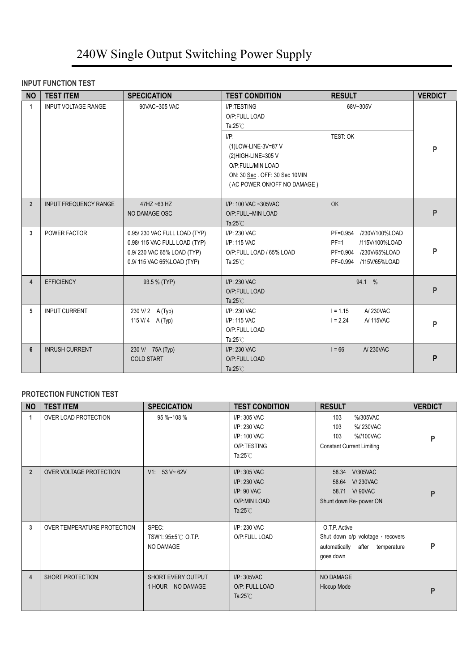#### **INPUT FUNCTION TEST**

| <b>NO</b>      | <b>TEST ITEM</b>             | <b>SPECICATION</b>                                                                                                      | <b>TEST CONDITION</b>                                                                                        | <b>RESULT</b>                                                                                           | <b>VERDICT</b> |
|----------------|------------------------------|-------------------------------------------------------------------------------------------------------------------------|--------------------------------------------------------------------------------------------------------------|---------------------------------------------------------------------------------------------------------|----------------|
| $\mathbf{1}$   | <b>INPUT VOLTAGE RANGE</b>   | 90VAC~305 VAC                                                                                                           | I/P:TESTING<br>O/P:FULL LOAD<br>Ta: $25^{\circ}$ C<br>$I/P$ :<br>(1) LOW-LINE-3V=87 V<br>(2) HIGH-LINE=305 V | 68V~305V<br>TEST: OK                                                                                    | P              |
|                |                              |                                                                                                                         | O/P:FULL/MIN LOAD<br>ON: 30 Sec. OFF: 30 Sec 10MIN<br>(AC POWER ON/OFF NO DAMAGE)                            |                                                                                                         |                |
| $\overline{2}$ | <b>INPUT FREQUENCY RANGE</b> | $47$ HZ ~63 HZ<br>NO DAMAGE OSC                                                                                         | I/P: 100 VAC ~305VAC<br>O/P:FULL~MIN LOAD<br>Ta: $25^{\circ}$ C                                              | <b>OK</b>                                                                                               | P              |
| $\mathbf{3}$   | POWER FACTOR                 | 0.95/230 VAC FULL LOAD (TYP)<br>0.98/115 VAC FULL LOAD (TYP)<br>0.9/230 VAC 65% LOAD (TYP)<br>0.9/115 VAC 65%LOAD (TYP) | $I/P$ : 230 VAC<br>I/P: 115 VAC<br>O/P:FULL LOAD / 65% LOAD<br>Ta: $25^{\circ}$ C                            | PF=0.954 /230V/100%LOAD<br>$PF=1$<br>/115V/100%LOAD<br>PF=0.904 /230V/65%LOAD<br>PF=0.994 /115V/65%LOAD | P              |
| $\overline{4}$ | <b>EFFICIENCY</b>            | 93.5 % (TYP)                                                                                                            | I/P: 230 VAC<br>O/P:FULL LOAD<br>Ta: $25^{\circ}$ C                                                          | 94.1 %                                                                                                  | P              |
| 5              | <b>INPUT CURRENT</b>         | 230 V/2 A (Typ)<br>115 V/ 4 A (Typ)                                                                                     | I/P: 230 VAC<br>I/P: 115 VAC<br>O/P:FULL LOAD<br>Ta: $25^{\circ}$ C                                          | $I = 1.15$<br>A/230VAC<br>$1 = 2.24$<br>A/ 115VAC                                                       | P              |
| 6              | <b>INRUSH CURRENT</b>        | 230 V/ 75A (Typ)<br><b>COLD START</b>                                                                                   | I/P: 230 VAC<br>O/P:FULL LOAD<br>Ta: $25^{\circ}$ C                                                          | $I = 66$<br>A/230VAC                                                                                    | P              |

#### **PROTECTION FUNCTION TEST**

| <b>NO</b>      | <b>TEST ITEM</b>               | <b>SPECICATION</b>                       | <b>TEST CONDITION</b>                                                                | <b>RESULT</b>                                                                                        | <b>VERDICT</b> |
|----------------|--------------------------------|------------------------------------------|--------------------------------------------------------------------------------------|------------------------------------------------------------------------------------------------------|----------------|
| 1              | OVER LOAD PROTECTION           | 95 %~108 %                               | I/P: 305 VAC<br>I/P: 230 VAC<br>I/P: 100 VAC<br>O/P:TESTING<br>Ta: $25^{\circ}$ C    | 103<br>%/305VAC<br>%/230VAC<br>103<br>%//100VAC<br>103<br><b>Constant Current Limiting</b>           | P              |
| $\overline{2}$ | <b>OVER VOLTAGE PROTECTION</b> | V1: 53 V~62V                             | I/P: 305 VAC<br>I/P: 230 VAC<br>$I/P$ : 90 VAC<br>O/P:MIN LOAD<br>Ta: $25^{\circ}$ C | <b>V/305VAC</b><br>58.34<br><b>V/230VAC</b><br>58.64<br>58.71 V/90VAC<br>Shunt down Re- power ON     | P              |
| 3              | OVER TEMPERATURE PROTECTION    | SPEC:<br>TSW1: 95±5℃ O.T.P.<br>NO DAMAGE | I/P: 230 VAC<br>O/P:FULL LOAD                                                        | O.T.P. Active<br>Shut down o/p volotage, recovers<br>automatically<br>after temperature<br>goes down | P              |
| 4              | SHORT PROTECTION               | SHORT EVERY OUTPUT<br>1 HOUR NO DAMAGE   | I/P: 305VAC<br>O/P: FULL LOAD<br>Ta: $25^{\circ}$ C                                  | NO DAMAGE<br>Hiccup Mode                                                                             | P              |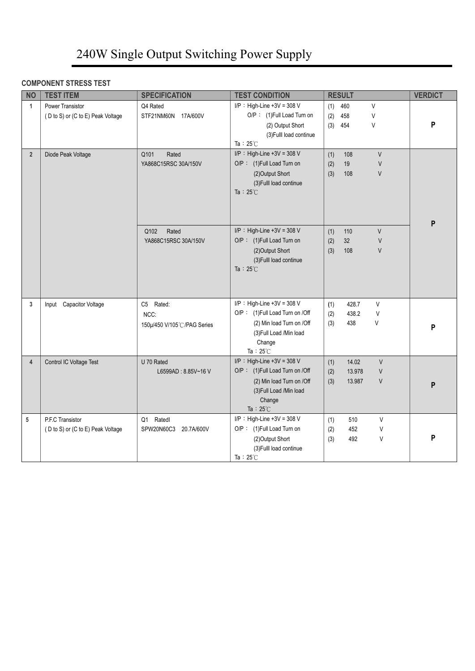#### **COMPONENT STRESS TEST**

| <b>NO</b>      | <b>TEST ITEM</b>                                      | <b>SPECIFICATION</b>                            | <b>TEST CONDITION</b>                                                                                                                                   | <b>RESULT</b>                                                           | <b>VERDICT</b> |
|----------------|-------------------------------------------------------|-------------------------------------------------|---------------------------------------------------------------------------------------------------------------------------------------------------------|-------------------------------------------------------------------------|----------------|
| $\mathbf{1}$   | Power Transistor<br>(D to S) or (C to E) Peak Voltage | Q4 Rated<br>STF21NM60N 17A/600V                 | $I/P$ : High-Line +3V = 308 V<br>O/P: (1)Full Load Turn on<br>(2) Output Short<br>(3) Fulll load continue<br>Ta: $25^{\circ}$ C                         | 460<br>V<br>(1)<br>(2)<br>458<br>V<br>(3)<br>454<br>V                   | P              |
| 2 <sup>2</sup> | Diode Peak Voltage                                    | Q101<br>Rated<br>YA868C15RSC 30A/150V           | I/P : High-Line +3V = 308 V<br>O/P: (1) Full Load Turn on<br>(2) Output Short<br>(3) Fulll load continue<br>Ta : $25^{\circ}$ C                         | $\vee$<br>(1)<br>108<br>$\sf V$<br>(2)<br>19<br>$\vee$<br>(3)<br>108    | P              |
|                |                                                       | Rated<br>Q102<br>YA868C15RSC 30A/150V           | $I/P$ : High-Line +3V = 308 V<br>O/P: (1) Full Load Turn on<br>(2) Output Short<br>(3) Fulll load continue<br>Ta : $25^{\circ}$ C                       | $\vee$<br>(1)<br>110<br>(2)<br>32<br>$\vee$<br>$\vee$<br>(3)<br>108     |                |
| 3              | Input Capacitor Voltage                               | C5 Rated:<br>NCC:<br>150µ/450 V/105℃/PAG Series | I/P : High-Line +3V = 308 V<br>O/P: (1) Full Load Turn on /Off<br>(2) Min load Turn on /Off<br>(3) Full Load / Min load<br>Change<br>Ta: $25^{\circ}$ C | V<br>428.7<br>(1)<br>(2)<br>438.2<br>V<br>438<br>V<br>(3)               | P              |
| $\overline{4}$ | Control IC Voltage Test                               | U 70 Rated<br>L6599AD: 8.85V~16 V               | I/P : High-Line +3V = 308 V<br>O/P: (1) Full Load Turn on /Off<br>(2) Min load Turn on /Off<br>(3) Full Load / Min load<br>Change<br>Ta: $25^{\circ}$ C | $\vee$<br>14.02<br>(1)<br>13.978<br>(2)<br>V<br>(3)<br>13.987<br>$\vee$ | P              |
| 5              | P.F.C Transistor<br>(D to S) or (C to E) Peak Voltage | Ratedl<br>Q1<br>SPW20N60C3 20.7A/600V           | I/P : High-Line +3V = 308 V<br>O/P: (1) Full Load Turn on<br>(2) Output Short<br>(3) Fulll load continue<br>Ta: $25^{\circ}$ C                          | 510<br>V<br>(1)<br>452<br>$\vee$<br>(2)<br>(3)<br>492<br>V              | P              |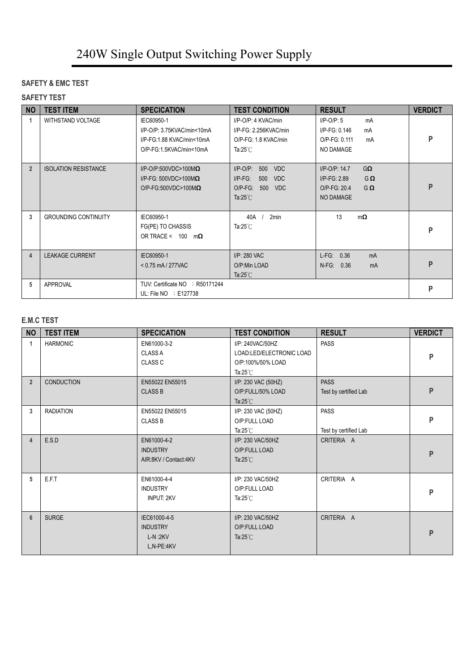#### **SAFETY & EMC TEST**

#### **SAFETY TEST**

| <b>NO</b>      | <b>TEST ITEM</b>            | <b>SPECICATION</b>                                                                                | <b>TEST CONDITION</b>                                                                                                  | <b>RESULT</b>                                                                                          | <b>VERDICT</b> |
|----------------|-----------------------------|---------------------------------------------------------------------------------------------------|------------------------------------------------------------------------------------------------------------------------|--------------------------------------------------------------------------------------------------------|----------------|
| 1              | <b>WITHSTAND VOLTAGE</b>    | IEC60950-1<br>I/P-O/P: 3.75KVAC/min<10mA<br>I/P-FG:1.88 KVAC/min<10mA<br>O/P-FG:1.5KVAC/min<10mA  | I/P-O/P: 4 KVAC/min<br>I/P-FG: 2.256KVAC/min<br>O/P-FG: 1.8 KVAC/min<br>Ta:25 $°C$                                     | $I/P$ -O/P: 5<br>mA<br>I/P-FG: 0.146<br>mA<br>O/P-FG: 0.111<br>mA<br>NO DAMAGE                         | P              |
| $\overline{2}$ | <b>ISOLATION RESISTANCE</b> | $I/P$ -O/P:500VDC>100M $\Omega$<br>I/P-FG: 500VDC>100M $\Omega$<br>$O/P$ -FG:500VDC>100M $\Omega$ | $I/P$ -O/P:<br>500<br><b>VDC</b><br>$I/P-FG$ :<br>500<br><b>VDC</b><br>O/P-FG: 500<br><b>VDC</b><br>Ta: $25^{\circ}$ C | $G\Omega$<br>$I/P$ -O/P: 14.7<br>$I/P-FG: 2.89$<br>$G\Omega$<br>O/P-FG: 20.4<br>$G\Omega$<br>NO DAMAGE | P              |
| 3              | <b>GROUNDING CONTINUITY</b> | IEC60950-1<br>FG(PE) TO CHASSIS<br>OR TRACE < $100 \text{ m}\Omega$                               | 40A<br>2min<br>Ta: $25^{\circ}$ C                                                                                      | 13<br>$m\Omega$                                                                                        | P              |
| $\overline{4}$ | <b>LEAKAGE CURRENT</b>      | IEC60950-1<br>$< 0.75$ mA / 277VAC                                                                | I/P: 280 VAC<br>O/P:Min LOAD<br>Ta: $25^{\circ}$ C                                                                     | $L-FG: 0.36$<br>mA<br>N-FG: 0.36<br>mA                                                                 | P              |
| 5              | <b>APPROVAL</b>             | TUV: Certificate NO : R50171244<br>UL: File $NO \div E127738$                                     |                                                                                                                        |                                                                                                        | P              |

#### **E.M.C TEST**

| <b>NO</b>      | <b>TEST ITEM</b>  | <b>SPECICATION</b>                                         | <b>TEST CONDITION</b>                                                                   | <b>RESULT</b>                        | <b>VERDICT</b> |
|----------------|-------------------|------------------------------------------------------------|-----------------------------------------------------------------------------------------|--------------------------------------|----------------|
|                | <b>HARMONIC</b>   | EN61000-3-2<br><b>CLASS A</b><br>CLASS <sub>C</sub>        | I/P: 240VAC/50HZ<br>LOAD:LED/ELECTRONIC LOAD<br>O/P:100%/50% LOAD<br>Ta: $25^{\circ}$ C | <b>PASS</b>                          | P              |
| $\overline{2}$ | <b>CONDUCTION</b> | EN55022 EN55015<br><b>CLASS B</b>                          | I/P: 230 VAC (50HZ)<br>O/P:FULL/50% LOAD<br>Ta: $25^{\circ}$ C                          | <b>PASS</b><br>Test by certified Lab | P              |
| 3              | <b>RADIATION</b>  | EN55022 EN55015<br><b>CLASS B</b>                          | I/P: 230 VAC (50HZ)<br>O/P:FULL LOAD<br>Ta: $25^{\circ}$ C                              | <b>PASS</b><br>Test by certified Lab | P              |
| 4              | E.S.D             | EN61000-4-2<br><b>INDUSTRY</b><br>AIR:8KV / Contact:4KV    | I/P: 230 VAC/50HZ<br>O/P:FULL LOAD<br>Ta: $25^{\circ}$ C                                | CRITERIA A                           | P              |
| 5              | E.F.T             | EN61000-4-4<br><b>INDUSTRY</b><br><b>INPUT: 2KV</b>        | I/P: 230 VAC/50HZ<br>O/P:FULL LOAD<br>Ta: $25^{\circ}$ C                                | CRITERIA A                           | P              |
| 6              | <b>SURGE</b>      | IEC61000-4-5<br><b>INDUSTRY</b><br>$L-N:2KV$<br>L,N-PE:4KV | I/P: 230 VAC/50HZ<br>O/P:FULL LOAD<br>Ta: $25^{\circ}$ C                                | CRITERIA A                           | P              |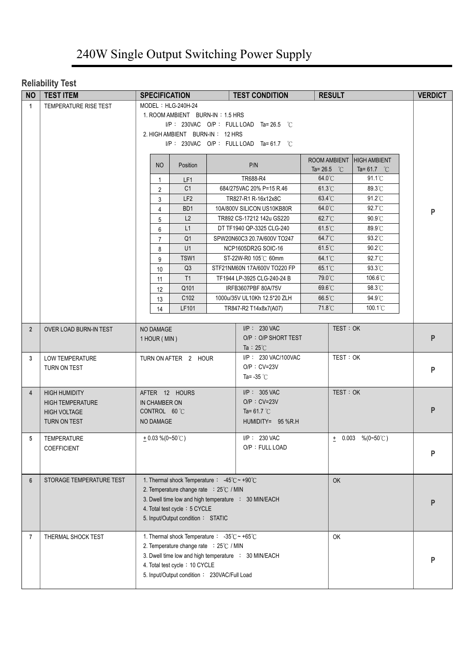#### **Reliability Test**

| <b>NO</b>      | <b>TEST ITEM</b>         |                    |                                                | <b>SPECIFICATION</b>                                                                                         |  | <b>TEST CONDITION</b>                                |                       | <b>RESULT</b> |                       |  | <b>VERDICT</b> |
|----------------|--------------------------|--------------------|------------------------------------------------|--------------------------------------------------------------------------------------------------------------|--|------------------------------------------------------|-----------------------|---------------|-----------------------|--|----------------|
| $\mathbf{1}$   | TEMPERATURE RISE TEST    | MODEL: HLG-240H-24 |                                                |                                                                                                              |  |                                                      |                       |               |                       |  |                |
|                |                          |                    |                                                | 1. ROOM AMBIENT BURN-IN: 1.5 HRS                                                                             |  |                                                      |                       |               |                       |  |                |
|                |                          |                    | I/P: 230VAC O/P: FULL LOAD Ta=26.5 $\degree$ C |                                                                                                              |  |                                                      |                       |               |                       |  |                |
|                |                          |                    | 2. HIGH AMBIENT BURN-IN: 12 HRS                |                                                                                                              |  |                                                      |                       |               |                       |  |                |
|                |                          |                    | I/P: 230VAC O/P: FULL LOAD Ta=61.7 $\degree$ C |                                                                                                              |  |                                                      |                       |               |                       |  |                |
|                |                          |                    |                                                |                                                                                                              |  |                                                      | ROOM AMBIENT          |               | <b>HIGH AMBIENT</b>   |  |                |
|                |                          |                    | <b>NO</b>                                      | Position                                                                                                     |  | P/N                                                  | Ta= 26.5 $^{\circ}$ C |               | Ta= 61.7 $^{\circ}$ C |  |                |
|                |                          |                    | 1                                              | LF1                                                                                                          |  | TR688-R4                                             | 64.0°C                |               | $91.1^{\circ}$ C      |  |                |
|                |                          |                    | 2                                              | C <sub>1</sub>                                                                                               |  | 684/275VAC 20% P=15 R.46                             | 61.3°C                |               | 89.3°C                |  |                |
|                |                          |                    | 3                                              | LF <sub>2</sub>                                                                                              |  | TR827-R1 R-16x12x8C                                  | 63.4°C                |               | 91.2°C                |  |                |
|                |                          |                    | 4                                              | B <sub>D</sub> 1                                                                                             |  | 10A/800V SILICON US10KB80R                           | 64.0°C                |               | 92.7°C                |  | P              |
|                |                          |                    | 5                                              | L2                                                                                                           |  | TR892 CS-17212 142u GS220                            | 62.7°C                |               | 90.9°C                |  |                |
|                |                          |                    | 6                                              | L1                                                                                                           |  | DT TF1940 QP-3325 CLG-240                            | $61.5^{\circ}$ C      |               | 89.9°C                |  |                |
|                |                          |                    | $\overline{7}$                                 | Q <sub>1</sub>                                                                                               |  | SPW20N60C3 20.7A/600V TO247                          | 64.7°C                |               | 93.2°C                |  |                |
|                |                          |                    | 8                                              | U1                                                                                                           |  | NCP1605DR2G SOIC-16                                  | $61.5^{\circ}$ C      |               | 90.2°C                |  |                |
|                |                          |                    | 9                                              | TSW1                                                                                                         |  | ST-22W-R0 105℃ 60mm                                  | 64.1°C                |               | 92.7°C                |  |                |
|                |                          |                    | 10                                             | Q3                                                                                                           |  | STF21NM60N 17A/600V TO220 FP                         | 65.1°C                |               | 93.3°C                |  |                |
|                |                          |                    | 11                                             | T1                                                                                                           |  | TF1944 LP-3925 CLG-240-24 B                          | 79.0°C                |               | 106.6°C               |  |                |
|                |                          |                    | 12                                             | Q101                                                                                                         |  | IRFB3607PBF 80A/75V                                  | 69.6°C                |               | $98.3^{\circ}$ C      |  |                |
|                |                          |                    | 13                                             | C102                                                                                                         |  | 1000u/35V UL10Kh 12.5*20 ZLH                         | 66.5°C                |               | 94.9°C                |  |                |
|                |                          |                    | 14                                             | LF101                                                                                                        |  | TR847-R2 T14x8x7(A07)                                | 71.8°C                |               | $100.1^{\circ}$ C     |  |                |
|                |                          |                    |                                                |                                                                                                              |  |                                                      |                       |               |                       |  |                |
| $\overline{2}$ | OVER LOAD BURN-IN TEST   |                    | NO DAMAGE                                      |                                                                                                              |  | $I/P$ : 230 VAC                                      |                       | TEST: OK      |                       |  | P              |
|                |                          |                    | 1 HOUR (MIN)                                   |                                                                                                              |  | O/P: O/P SHORT TEST<br>Ta : $25^{\circ}$ C           |                       |               |                       |  |                |
| 3              | LOW TEMPERATURE          |                    |                                                | TURN ON AFTER 2 HOUR                                                                                         |  | I/P: 230 VAC/100VAC                                  |                       | TEST: OK      |                       |  |                |
|                | TURN ON TEST             |                    |                                                |                                                                                                              |  | $O/P : CV=23V$                                       |                       |               |                       |  |                |
|                |                          |                    |                                                |                                                                                                              |  | Ta= -35 $°C$                                         |                       |               |                       |  | ${\sf P}$      |
|                |                          |                    |                                                |                                                                                                              |  |                                                      |                       |               |                       |  |                |
| $\overline{4}$ | <b>HIGH HUMIDITY</b>     |                    |                                                | AFTER 12 HOURS                                                                                               |  | $I/P$ : 305 VAC                                      |                       | TEST: OK      |                       |  |                |
|                | <b>HIGH TEMPERATURE</b>  |                    | IN CHAMBER ON                                  |                                                                                                              |  | $O/P : CV=23V$                                       |                       |               |                       |  | P              |
|                | <b>HIGH VOLTAGE</b>      |                    | CONTROL 60 °C                                  |                                                                                                              |  | Ta= 61.7 $°C$                                        |                       |               |                       |  |                |
|                | TURN ON TEST             |                    | NO DAMAGE                                      |                                                                                                              |  | HUMIDITY= 95 %R.H                                    |                       |               |                       |  |                |
| 5              | TEMPERATURE              |                    | $+0.03\%$ (0~50°C)                             |                                                                                                              |  | $I/P$ : 230 VAC                                      |                       |               | $\pm$ 0.003 %(0~50°C) |  |                |
|                | <b>COEFFICIENT</b>       |                    |                                                |                                                                                                              |  | O/P: FULL LOAD                                       |                       |               |                       |  |                |
|                |                          |                    |                                                |                                                                                                              |  |                                                      |                       |               |                       |  | P              |
|                |                          |                    |                                                |                                                                                                              |  |                                                      |                       |               |                       |  |                |
| $6\phantom{1}$ | STORAGE TEMPERATURE TEST |                    |                                                | 1. Thermal shock Temperature : $-45^{\circ}$ C ~ +90 $^{\circ}$ C                                            |  |                                                      |                       | <b>OK</b>     |                       |  |                |
|                |                          |                    |                                                | 2. Temperature change rate : 25°C / MIN                                                                      |  |                                                      |                       |               |                       |  |                |
|                |                          |                    |                                                |                                                                                                              |  | 3. Dwell time low and high temperature : 30 MIN/EACH |                       |               |                       |  | P              |
|                |                          |                    |                                                | 4. Total test cycle: 5 CYCLE                                                                                 |  |                                                      |                       |               |                       |  |                |
|                |                          |                    |                                                | 5. Input/Output condition: STATIC                                                                            |  |                                                      |                       |               |                       |  |                |
|                |                          |                    |                                                |                                                                                                              |  |                                                      |                       |               |                       |  |                |
| $\overline{7}$ | THERMAL SHOCK TEST       |                    |                                                | 1. Thermal shock Temperature : $-35^{\circ}$ C ~ +65 $^{\circ}$ C<br>2. Temperature change rate : 25°C / MIN |  |                                                      |                       | OK            |                       |  |                |
|                |                          |                    |                                                |                                                                                                              |  | 3. Dwell time low and high temperature : 30 MIN/EACH |                       |               |                       |  |                |
|                |                          |                    |                                                | 4. Total test cycle: 10 CYCLE                                                                                |  |                                                      |                       |               |                       |  | P              |
|                |                          |                    |                                                | 5. Input/Output condition: 230VAC/Full Load                                                                  |  |                                                      |                       |               |                       |  |                |
|                |                          |                    |                                                |                                                                                                              |  |                                                      |                       |               |                       |  |                |